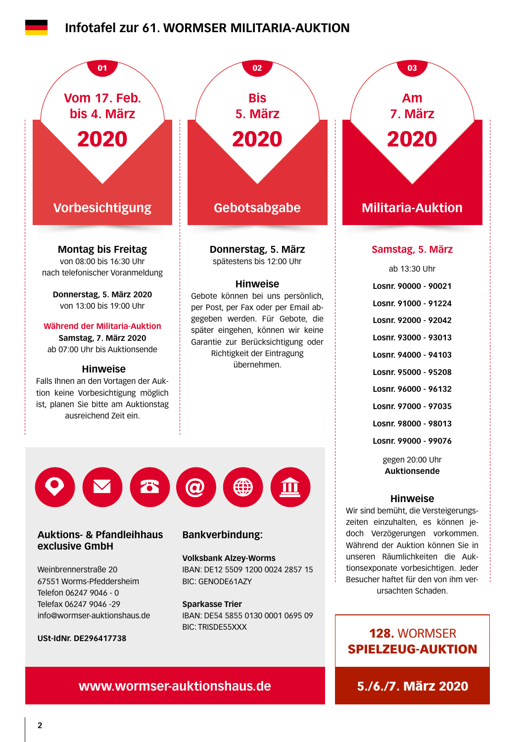# **[Infotafel zur 61. WORMSER MILITARIA-AUKTION](https://www.wormser-auktionshaus.de)**



IBAN: DE54 5855 0130 0001 0695 09

BIC: TRISDE55XXX

128. WORMSER SPIELZEUG-AUKTION

# **www.wormser-auktionshaus.de** 5./6./7. März 2020

info@wormser-auktionshaus.de

**USt-IdNr. DE296417738**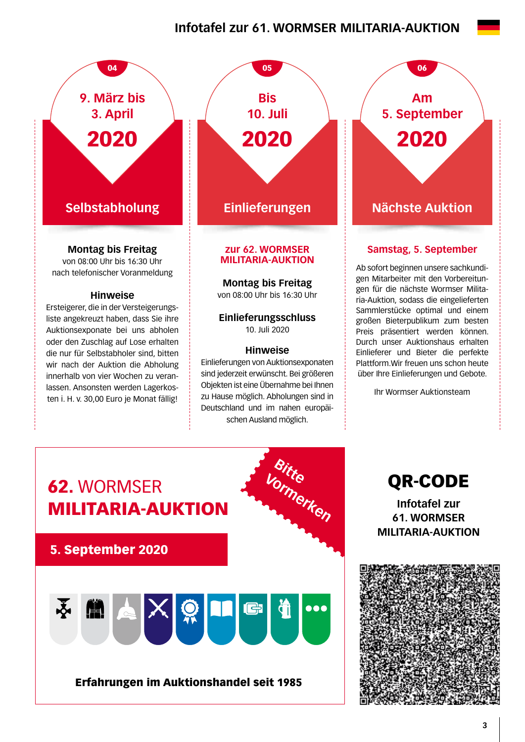# **Infotafel zur 61. WORMSER MILITARIA-AUKTION**

# **9. März bis 3. April** 2020

### **Montag bis Freitag**

von 08:00 Uhr bis 16:30 Uhr nach telefonischer Voranmeldung

#### **Hinweise**

Ersteigerer, die in der Versteigerungsliste angekreuzt haben, dass Sie ihre Auktionsexponate bei uns abholen oder den Zuschlag auf Lose erhalten die nur für Selbstabholer sind, bitten wir nach der Auktion die Abholung innerhalb von vier Wochen zu veranlassen. Ansonsten werden Lagerkosten i. H. v. 30,00 Euro je Monat fällig!



# **MILITARIA-AUKTION**

### **Montag bis Freitag**

von 08:00 Uhr bis 16:30 Uhr

#### **Einlieferungsschluss**  10. Juli 2020

#### **Hinweise**

Einlieferungen von Auktionsexponaten sind jederzeit erwünscht. Bei größeren Objekten ist eine Übernahme bei Ihnen zu Hause möglich. Abholungen sind in Deutschland und im nahen europäischen Ausland möglich.

**Am 5. September** 2020

### **Samstag, 5. September**

Ab sofort beginnen unsere sachkundigen Mitarbeiter mit den Vorbereitungen für die nächste Wormser Militaria-Auktion, sodass die eingelieferten Sammlerstücke optimal und einem großen Bieterpublikum zum besten Preis präsentiert werden können. Durch unser Auktionshaus erhalten Einlieferer und Bieter die perfekte Plattform.Wir freuen uns schon heute über Ihre Einlieferungen und Gebote.

Ihr Wormser Auktionsteam



# QR-CODE

**Infotafel zur 61. WORMSER MILITARIA-AUKTION**

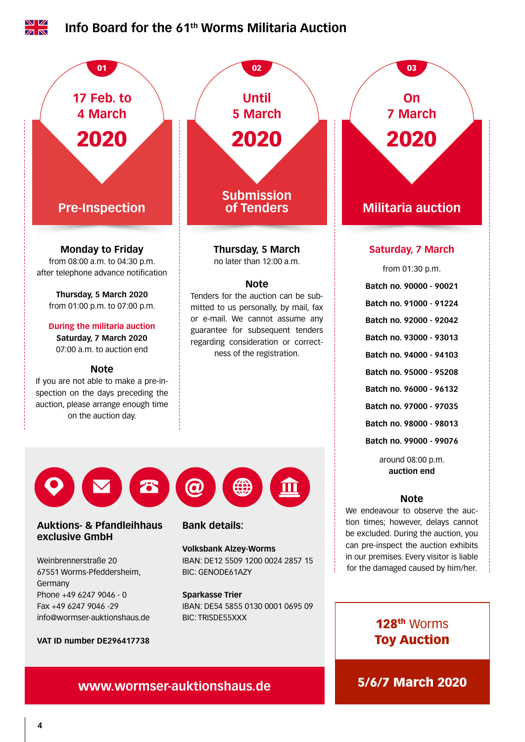

### **VAT ID number DE296417738**

**4**

# **www.wormser-auktionshaus.de 5/6/7 March 2020**